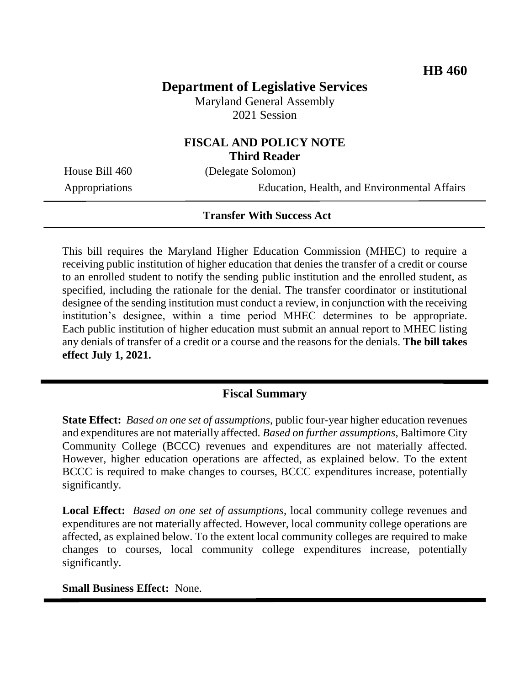# **Department of Legislative Services**

Maryland General Assembly 2021 Session

## **FISCAL AND POLICY NOTE Third Reader**

House Bill 460 (Delegate Solomon)

Appropriations Education, Health, and Environmental Affairs

#### **Transfer With Success Act**

This bill requires the Maryland Higher Education Commission (MHEC) to require a receiving public institution of higher education that denies the transfer of a credit or course to an enrolled student to notify the sending public institution and the enrolled student, as specified, including the rationale for the denial. The transfer coordinator or institutional designee of the sending institution must conduct a review, in conjunction with the receiving institution's designee, within a time period MHEC determines to be appropriate. Each public institution of higher education must submit an annual report to MHEC listing any denials of transfer of a credit or a course and the reasons for the denials. **The bill takes effect July 1, 2021.**

## **Fiscal Summary**

**State Effect:** *Based on one set of assumptions*, public four-year higher education revenues and expenditures are not materially affected. *Based on further assumptions*, Baltimore City Community College (BCCC) revenues and expenditures are not materially affected. However, higher education operations are affected, as explained below. To the extent BCCC is required to make changes to courses, BCCC expenditures increase, potentially significantly.

**Local Effect:** *Based on one set of assumptions*, local community college revenues and expenditures are not materially affected. However, local community college operations are affected, as explained below. To the extent local community colleges are required to make changes to courses, local community college expenditures increase, potentially significantly.

#### **Small Business Effect:** None.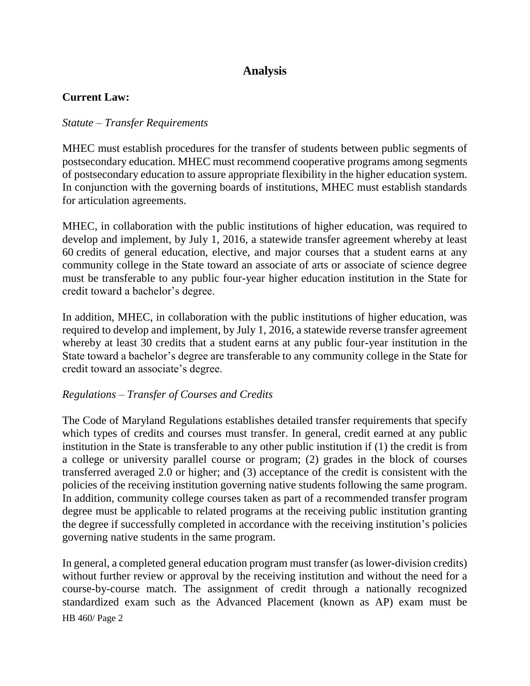# **Analysis**

### **Current Law:**

#### *Statute – Transfer Requirements*

MHEC must establish procedures for the transfer of students between public segments of postsecondary education. MHEC must recommend cooperative programs among segments of postsecondary education to assure appropriate flexibility in the higher education system. In conjunction with the governing boards of institutions, MHEC must establish standards for articulation agreements.

MHEC, in collaboration with the public institutions of higher education, was required to develop and implement, by July 1, 2016, a statewide transfer agreement whereby at least 60 credits of general education, elective, and major courses that a student earns at any community college in the State toward an associate of arts or associate of science degree must be transferable to any public four-year higher education institution in the State for credit toward a bachelor's degree.

In addition, MHEC, in collaboration with the public institutions of higher education, was required to develop and implement, by July 1, 2016, a statewide reverse transfer agreement whereby at least 30 credits that a student earns at any public four-year institution in the State toward a bachelor's degree are transferable to any community college in the State for credit toward an associate's degree.

#### *Regulations – Transfer of Courses and Credits*

The Code of Maryland Regulations establishes detailed transfer requirements that specify which types of credits and courses must transfer. In general, credit earned at any public institution in the State is transferable to any other public institution if (1) the credit is from a college or university parallel course or program; (2) grades in the block of courses transferred averaged 2.0 or higher; and (3) acceptance of the credit is consistent with the policies of the receiving institution governing native students following the same program. In addition, community college courses taken as part of a recommended transfer program degree must be applicable to related programs at the receiving public institution granting the degree if successfully completed in accordance with the receiving institution's policies governing native students in the same program.

HB 460/ Page 2 In general, a completed general education program must transfer (as lower-division credits) without further review or approval by the receiving institution and without the need for a course-by-course match. The assignment of credit through a nationally recognized standardized exam such as the Advanced Placement (known as AP) exam must be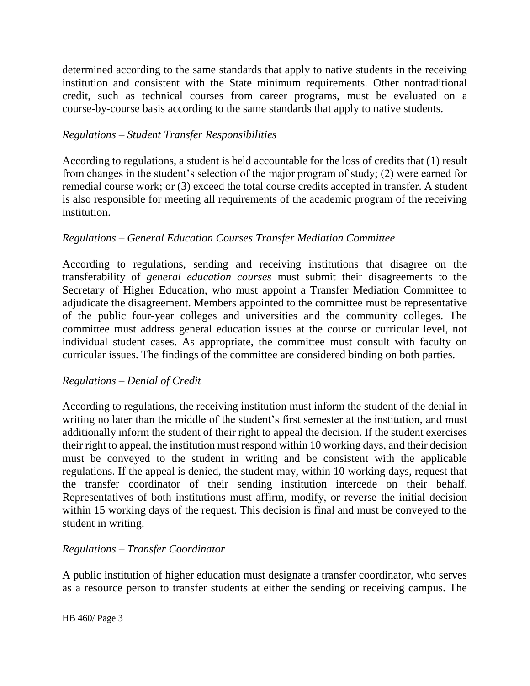determined according to the same standards that apply to native students in the receiving institution and consistent with the State minimum requirements. Other nontraditional credit, such as technical courses from career programs, must be evaluated on a course-by-course basis according to the same standards that apply to native students.

## *Regulations – Student Transfer Responsibilities*

According to regulations, a student is held accountable for the loss of credits that (1) result from changes in the student's selection of the major program of study; (2) were earned for remedial course work; or (3) exceed the total course credits accepted in transfer. A student is also responsible for meeting all requirements of the academic program of the receiving institution.

## *Regulations – General Education Courses Transfer Mediation Committee*

According to regulations, sending and receiving institutions that disagree on the transferability of *general education courses* must submit their disagreements to the Secretary of Higher Education, who must appoint a Transfer Mediation Committee to adjudicate the disagreement. Members appointed to the committee must be representative of the public four-year colleges and universities and the community colleges. The committee must address general education issues at the course or curricular level, not individual student cases. As appropriate, the committee must consult with faculty on curricular issues. The findings of the committee are considered binding on both parties.

## *Regulations – Denial of Credit*

According to regulations, the receiving institution must inform the student of the denial in writing no later than the middle of the student's first semester at the institution, and must additionally inform the student of their right to appeal the decision. If the student exercises their right to appeal, the institution must respond within 10 working days, and their decision must be conveyed to the student in writing and be consistent with the applicable regulations. If the appeal is denied, the student may, within 10 working days, request that the transfer coordinator of their sending institution intercede on their behalf. Representatives of both institutions must affirm, modify, or reverse the initial decision within 15 working days of the request. This decision is final and must be conveyed to the student in writing.

## *Regulations – Transfer Coordinator*

A public institution of higher education must designate a transfer coordinator, who serves as a resource person to transfer students at either the sending or receiving campus. The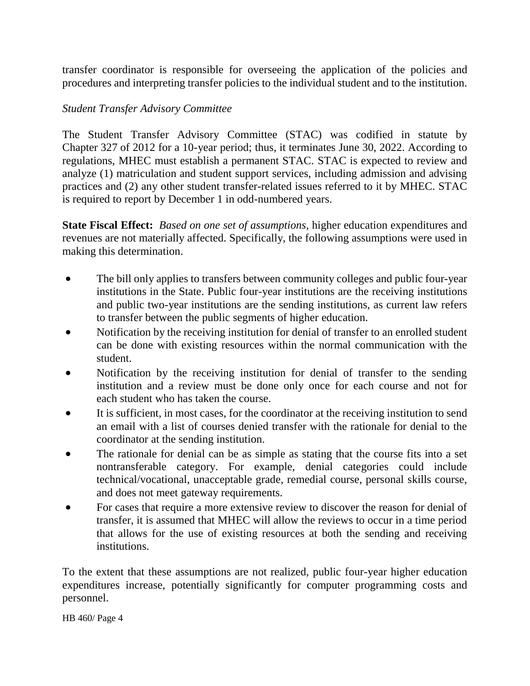transfer coordinator is responsible for overseeing the application of the policies and procedures and interpreting transfer policies to the individual student and to the institution.

### *Student Transfer Advisory Committee*

The Student Transfer Advisory Committee (STAC) was codified in statute by Chapter 327 of 2012 for a 10-year period; thus, it terminates June 30, 2022. According to regulations, MHEC must establish a permanent STAC. STAC is expected to review and analyze (1) matriculation and student support services, including admission and advising practices and (2) any other student transfer-related issues referred to it by MHEC. STAC is required to report by December 1 in odd-numbered years.

**State Fiscal Effect:** *Based on one set of assumptions*, higher education expenditures and revenues are not materially affected. Specifically, the following assumptions were used in making this determination.

- The bill only applies to transfers between community colleges and public four-year institutions in the State. Public four-year institutions are the receiving institutions and public two-year institutions are the sending institutions, as current law refers to transfer between the public segments of higher education.
- Notification by the receiving institution for denial of transfer to an enrolled student can be done with existing resources within the normal communication with the student.
- Notification by the receiving institution for denial of transfer to the sending institution and a review must be done only once for each course and not for each student who has taken the course.
- It is sufficient, in most cases, for the coordinator at the receiving institution to send an email with a list of courses denied transfer with the rationale for denial to the coordinator at the sending institution.
- The rationale for denial can be as simple as stating that the course fits into a set nontransferable category. For example, denial categories could include technical/vocational, unacceptable grade, remedial course, personal skills course, and does not meet gateway requirements.
- For cases that require a more extensive review to discover the reason for denial of transfer, it is assumed that MHEC will allow the reviews to occur in a time period that allows for the use of existing resources at both the sending and receiving institutions.

To the extent that these assumptions are not realized, public four-year higher education expenditures increase, potentially significantly for computer programming costs and personnel.

HB 460/ Page 4